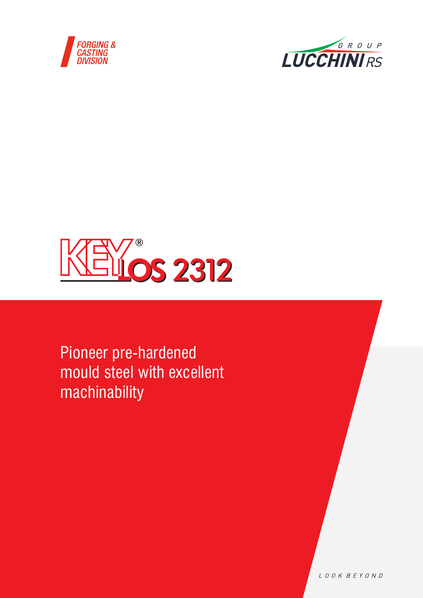





Pioneer pre-hardened mould steel with excellent machinability

LOOK BEYOND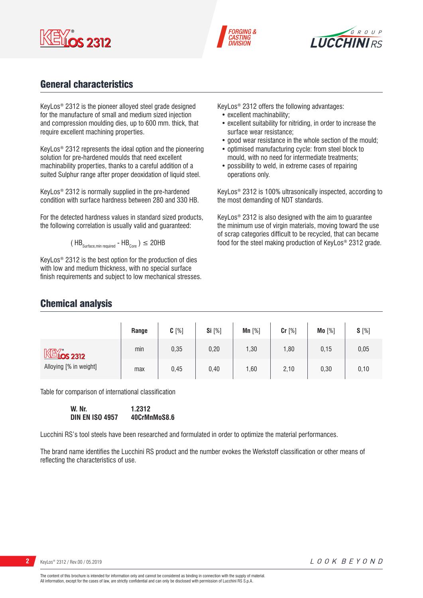





## General characteristics

KeyLos® 2312 is the pioneer alloyed steel grade designed for the manufacture of small and medium sized injection and compression moulding dies, up to 600 mm. thick, that require excellent machining properties.

KeyLos® 2312 represents the ideal option and the pioneering solution for pre-hardened moulds that need excellent machinability properties, thanks to a careful addition of a suited Sulphur range after proper deoxidation of liquid steel.

KeyLos® 2312 is normally supplied in the pre-hardened condition with surface hardness between 280 and 330 HB.

For the detected hardness values in standard sized products, the following correlation is usually valid and guaranteed:

$$
(\text{HB}_{\text{Surface,min required}} - \text{HB}_{\text{Core}})
$$
  $\leq$  20HB

KeyLos® 2312 is the best option for the production of dies with low and medium thickness, with no special surface finish requirements and subject to low mechanical stresses. KeyLos® 2312 offers the following advantages:

- excellent machinability;
- excellent suitability for nitriding, in order to increase the surface wear resistance;
- good wear resistance in the whole section of the mould;
- optimised manufacturing cycle: from steel block to mould, with no need for intermediate treatments;
- possibility to weld, in extreme cases of repairing operations only.

KeyLos® 2312 is 100% ultrasonically inspected, according to the most demanding of NDT standards.

KeyLos® 2312 is also designed with the aim to guarantee the minimum use of virgin materials, moving toward the use of scrap categories difficult to be recycled, that can became food for the steel making production of KeyLos® 2312 grade.

## Chemical analysis

|                        | Range | $C[\%]$ | Si [%] | $Mn$ [%] | Cr [%] | Mo [%] | $S[\%]$ |
|------------------------|-------|---------|--------|----------|--------|--------|---------|
| $M\lll$ $\sim$ 2312    | min   | 0,35    | 0,20   | 1,30     | 1,80   | 0,15   | 0,05    |
| Alloying [% in weight] | max   | 0,45    | 0,40   | 1,60     | 2,10   | 0,30   | 0,10    |

Table for comparison of international classification

**W. Nr. 1.2312 DIN EN ISO 4957 40CrMnMoS8.6**

Lucchini RS's tool steels have been researched and formulated in order to optimize the material performances.

The brand name identifies the Lucchini RS product and the number evokes the Werkstoff classification or other means of reflecting the characteristics of use.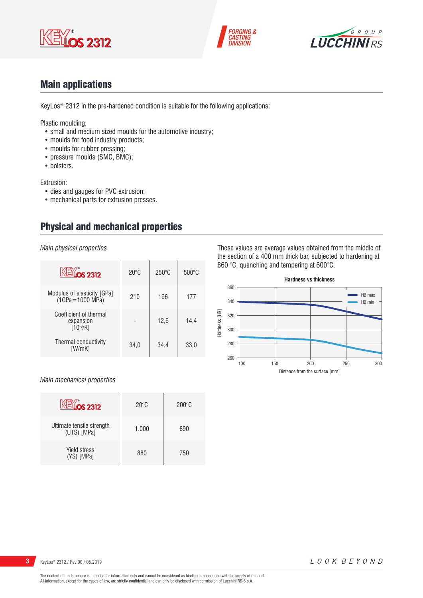





## Main applications

KeyLos® 2312 in the pre-hardened condition is suitable for the following applications:

Plastic moulding:

- small and medium sized moulds for the automotive industry;
- moulds for food industry products;
- moulds for rubber pressing;
- pressure moulds (SMC, BMC);
- bolsters.

Extrusion:

- dies and gauges for PVC extrusion;
- mechanical parts for extrusion presses.

## Physical and mechanical properties

*Main physical properties*

| <b>KEY 0S 2312</b>                                   | $20^{\circ}$ C | $250^{\circ}$ C | $500\degree C$ |
|------------------------------------------------------|----------------|-----------------|----------------|
| Modulus of elasticity [GPa]<br>$(1GPa = 1000 MPa)$   | 210            | 196             | 177            |
| Coefficient of thermal<br>expansion<br>$[10^{-6}/K]$ |                | 12,6            | 14,4           |
| Thermal conductivity<br>[W/mK]                       | 34,0           | 34,4            | 33,0           |

## *Main mechanical properties*

| <u><b>ELíos 2312</b></u>                 | $20^{\circ}$ C | $200^{\circ}$ C |
|------------------------------------------|----------------|-----------------|
| Ultimate tensile strength<br>(UTS) [MPa] | 1.000          | 890             |
| <b>Yield stress</b><br>(YS) [MPa]        | 880            | 750             |

These values are average values obtained from the middle of the section of a 400 mm thick bar, subjected to hardening at 860 °C, quenching and tempering at 600°C.



LOOK BEYOND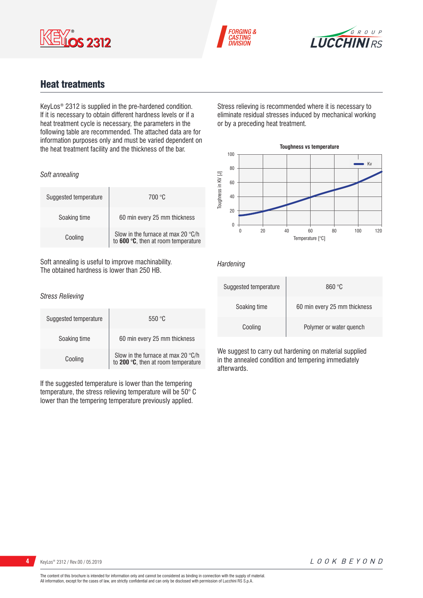





## Heat treatments

KeyLos® 2312 is supplied in the pre-hardened condition. If it is necessary to obtain different hardness levels or if a heat treatment cycle is necessary, the parameters in the following table are recommended. The attached data are for information purposes only and must be varied dependent on the heat treatment facility and the thickness of the bar.

## *Soft annealing*

| Suggested temperature | 700 °C                                                                             |
|-----------------------|------------------------------------------------------------------------------------|
| Soaking time          | 60 min every 25 mm thickness                                                       |
| Cooling               | Slow in the furnace at max 20 $\degree$ C/h<br>to 600 °C, then at room temperature |

Soft annealing is useful to improve machinability. The obtained hardness is lower than 250 HB.

#### *Stress Relieving*

| Suggested temperature | 550 °C                                                                                            |
|-----------------------|---------------------------------------------------------------------------------------------------|
| Soaking time          | 60 min every 25 mm thickness                                                                      |
| Cooling               | Slow in the furnace at max 20 $^{\circ}$ C/h to <b>200</b> $^{\circ}$ C, then at room temperature |

If the suggested temperature is lower than the tempering temperature, the stress relieving temperature will be 50° C lower than the tempering temperature previously applied.

Stress relieving is recommended where it is necessary to eliminate residual stresses induced by mechanical working or by a preceding heat treatment.



## *Hardening*

| Suggested temperature | 860 °C                       |
|-----------------------|------------------------------|
| Soaking time          | 60 min every 25 mm thickness |
| Cooling               | Polymer or water quench      |

We suggest to carry out hardening on material supplied in the annealed condition and tempering immediately afterwards.

LOOK BEYOND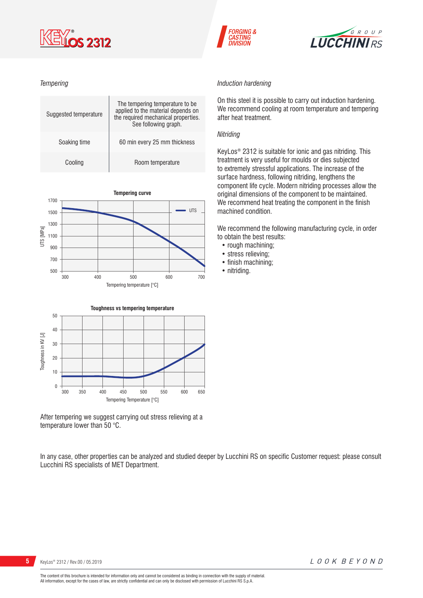

## *Tempering*







After tempering we suggest carrying out stress relieving at a temperature lower than 50 °C.

In any case, other properties can be analyzed and studied deeper by Lucchini RS on specific Customer request: please consult Lucchini RS specialists of MET Department.



# **5** KeyLos® 2312 / Rev.00 / 05.2019



#### *Induction hardening*

**FORGING &** 

**ASTING** 

On this steel it is possible to carry out induction hardening. We recommend cooling at room temperature and tempering after heat treatment.

#### *Nitriding*

KeyLos® 2312 is suitable for ionic and gas nitriding. This treatment is very useful for moulds or dies subjected to extremely stressful applications. The increase of the surface hardness, following nitriding, lengthens the component life cycle. Modern nitriding processes allow the original dimensions of the component to be maintained. We recommend heat treating the component in the finish machined condition.

We recommend the following manufacturing cycle, in order to obtain the best results:

- rough machining:
- stress relieving;
- finish machining;
- nitriding.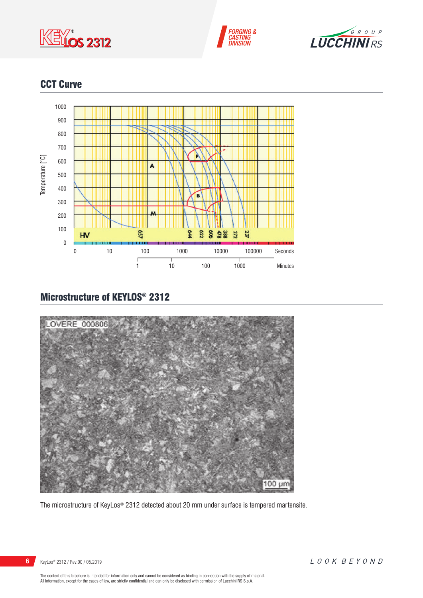





## CCT Curve



# Microstructure of KEYLOS® 2312



The microstructure of KeyLos® 2312 detected about 20 mm under surface is tempered martensite.

KeyLos® 2312 / Rev.00 / 05.2019

The content of this brochure is intended for information only and cannot be considered as binding in connection with the supply of material.<br>All information, except for the cases of law, are strictly confidential and can o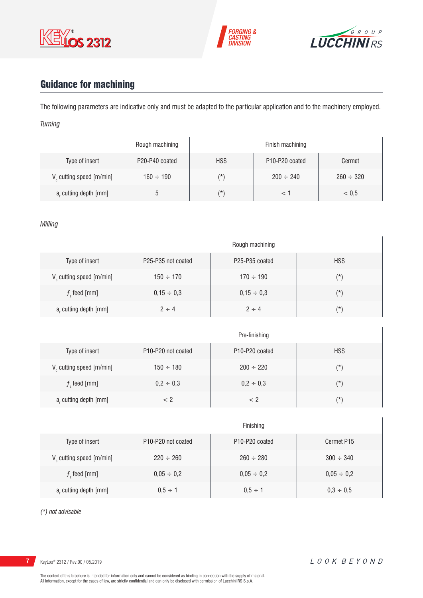





# Guidance for machining

The following parameters are indicative only and must be adapted to the particular application and to the machinery employed. *Turning*

|                         | Rough machining |            | Finish machining                        |                |
|-------------------------|-----------------|------------|-----------------------------------------|----------------|
| Type of insert          | P20-P40 coated  | <b>HSS</b> | P <sub>10</sub> -P <sub>20</sub> coated | Cermet         |
| V cutting speed [m/min] | $160 \div 190$  | (*`        | $200 \div 240$                          | $260 \div 320$ |
| a, cutting depth [mm]   |                 | (*`        |                                         | < 0.5          |

## *Milling*

|                                      |                    | Rough machining                         |            |
|--------------------------------------|--------------------|-----------------------------------------|------------|
| Type of insert                       | P25-P35 not coated | P <sub>25</sub> -P <sub>35</sub> coated | <b>HSS</b> |
| V <sub>c</sub> cutting speed [m/min] | $150 \div 170$     | $170 \div 190$                          | $(\star)$  |
| $fz$ feed [mm]                       | $0,15 \div 0,3$    | $0,15 \div 0,3$                         | $(\star)$  |
| a, cutting depth [mm]                | $2 \div 4$         | $2 \div 4$                              | $(\star)$  |

|                                   |                                             | Pre-finishing                           |            |
|-----------------------------------|---------------------------------------------|-----------------------------------------|------------|
| Type of insert                    | P <sub>10</sub> -P <sub>20</sub> not coated | P <sub>10</sub> -P <sub>20</sub> coated | <b>HSS</b> |
| $V_{\rm c}$ cutting speed [m/min] | $150 \div 180$                              | $200 \div 220$                          | $(\star)$  |
| $fz$ feed [mm]                    | $0,2 \div 0,3$                              | $0,2 \div 0,3$                          | $(\star)$  |
| $ar$ cutting depth [mm]           | < 2                                         | < 2                                     | (*)        |

|                                      |                                             | Finishing                               |                 |
|--------------------------------------|---------------------------------------------|-----------------------------------------|-----------------|
| Type of insert                       | P <sub>10</sub> -P <sub>20</sub> not coated | P <sub>10</sub> -P <sub>20</sub> coated | Cermet P15      |
| V <sub>c</sub> cutting speed [m/min] | $220 \div 260$                              | $260 \div 280$                          | $300 \div 340$  |
| $f$ , feed [mm]                      | $0,05 \div 0,2$                             | $0,05 \div 0,2$                         | $0,05 \div 0,2$ |
| a, cutting depth [mm]                | $0.5 \div 1$                                | $0.5 \div 1$                            | $0,3 \div 0,5$  |

*(\*) not advisable*

**7** KeyLos® 2312 / Rev.00 / 05.2019

 $\overline{1}$ 

 $\overline{1}$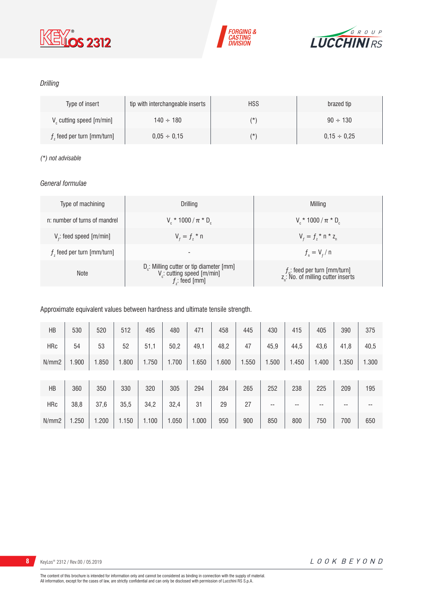





## *Drilling*

| Type of insert                       | tip with interchangeable inserts | <b>HSS</b> | brazed tip       |
|--------------------------------------|----------------------------------|------------|------------------|
| V <sub>c</sub> cutting speed [m/min] | $140 \div 180$                   | $(\star)$  | $90 \div 130$    |
| $fz$ feed per turn [mm/turn]         | $0.05 \div 0.15$                 | $(\star)$  | $0.15 \div 0.25$ |

## *(\*) not advisable*

## *General formulae*

| Type of machining             | Drilling                                                                                                          | Milling                                                                             |
|-------------------------------|-------------------------------------------------------------------------------------------------------------------|-------------------------------------------------------------------------------------|
| n: number of turns of mandrel | $V_r * 1000 / \pi * D_r$                                                                                          | $V_r * 1000 / \pi * D_r$                                                            |
| $Vf$ : feed speed [m/min]     | $V_{f} = f_{7}$ * n                                                                                               | $V_{f} = f_{z}$ * n * z <sub>n</sub>                                                |
| $fz$ feed per turn [mm/turn]  | $\overline{\phantom{a}}$                                                                                          | $f_{n} = V_{f} / n$                                                                 |
| <b>Note</b>                   | D <sub>r</sub> : Milling cutter or tip diameter [mm]<br>V <sub>c</sub> : cutting speed [m/min]<br>$f$ ; feed [mm] | $f_{n}$ : feed per turn [mm/turn]<br>z <sub>n</sub> : No. of milling cutter inserts |

## Approximate equivalent values between hardness and ultimate tensile strength.

| HB         | 530   | 520   | 512   | 495   | 480   | 471   | 458   | 445   | 430   | 415   | 405   | 390   | 375   |
|------------|-------|-------|-------|-------|-------|-------|-------|-------|-------|-------|-------|-------|-------|
| <b>HRc</b> | 54    | 53    | 52    | 51,1  | 50,2  | 49,1  | 48,2  | 47    | 45,9  | 44,5  | 43,6  | 41,8  | 40,5  |
| N/mm2      | 1.900 | 1.850 | 1.800 | 1.750 | 1.700 | 1.650 | 1.600 | 1.550 | 1.500 | 1.450 | 1.400 | 1.350 | 1.300 |
|            |       |       |       |       |       |       |       |       |       |       |       |       |       |
| HB         | 360   | 350   | 330   | 320   | 305   | 294   | 284   | 265   | 252   | 238   | 225   | 209   | 195   |
| <b>HRc</b> | 38,8  | 37,6  | 35,5  | 34,2  | 32,4  | 31    | 29    | 27    | --    | --    | --    | --    | --    |
| N/mm2      | 1.250 | 1.200 | 1.150 | 1.100 | 1.050 | 1.000 | 950   | 900   | 850   | 800   | 750   | 700   | 650   |